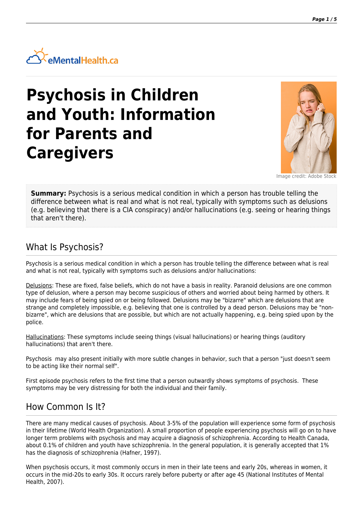

# **Psychosis in Children and Youth: Information for Parents and Caregivers**



Image credit: Adobe Stock

**Summary:** Psychosis is a serious medical condition in which a person has trouble telling the difference between what is real and what is not real, typically with symptoms such as delusions (e.g. believing that there is a CIA conspiracy) and/or hallucinations (e.g. seeing or hearing things that aren't there).

#### What Is Psychosis?

Psychosis is a serious medical condition in which a person has trouble telling the difference between what is real and what is not real, typically with symptoms such as delusions and/or hallucinations:

Delusions: These are fixed, false beliefs, which do not have a basis in reality. Paranoid delusions are one common type of delusion, where a person may become suspicious of others and worried about being harmed by others. It may include fears of being spied on or being followed. Delusions may be "bizarre" which are delusions that are strange and completely impossible, e.g. believing that one is controlled by a dead person. Delusions may be "nonbizarre", which are delusions that are possible, but which are not actually happening, e.g. being spied upon by the police.

Hallucinations: These symptoms include seeing things (visual hallucinations) or hearing things (auditory hallucinations) that aren't there.

Psychosis may also present initially with more subtle changes in behavior, such that a person "just doesn't seem to be acting like their normal self".

First episode psychosis refers to the first time that a person outwardly shows symptoms of psychosis. These symptoms may be very distressing for both the individual and their family.

# How Common Is It?

There are many medical causes of psychosis. About 3-5% of the population will experience some form of psychosis in their lifetime (World Health Organization). A small proportion of people experiencing psychosis will go on to have longer term problems with psychosis and may acquire a diagnosis of schizophrenia. According to Health Canada, about 0.1% of children and youth have schizophrenia. In the general population, it is generally accepted that 1% has the diagnosis of schizophrenia (Hafner, 1997).

When psychosis occurs, it most commonly occurs in men in their late teens and early 20s, whereas in women, it occurs in the mid-20s to early 30s. It occurs rarely before puberty or after age 45 (National Institutes of Mental Health, 2007).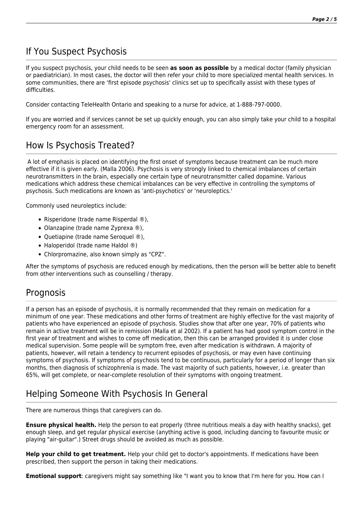# If You Suspect Psychosis

If you suspect psychosis, your child needs to be seen **as soon as possible** by a medical doctor (family physician or paediatrician). In most cases, the doctor will then refer your child to more specialized mental health services. In some communities, there are 'first episode psychosis' clinics set up to specifically assist with these types of difficulties.

Consider contacting TeleHealth Ontario and speaking to a nurse for advice, at 1-888-797-0000.

If you are worried and if services cannot be set up quickly enough, you can also simply take your child to a hospital emergency room for an assessment.

## How Is Psychosis Treated?

 A lot of emphasis is placed on identifying the first onset of symptoms because treatment can be much more effective if it is given early. (Malla 2006). Psychosis is very strongly linked to chemical imbalances of certain neurotransmitters in the brain, especially one certain type of neurotransmitter called dopamine. Various medications which address these chemical imbalances can be very effective in controlling the symptoms of psychosis. Such medications are known as 'anti-psychotics' or 'neuroleptics.'

Commonly used neuroleptics include:

- Risperidone (trade name Risperdal ®),
- Olanzapine (trade name Zyprexa ®),
- Quetiapine (trade name Seroquel ®),
- Haloperidol (trade name Haldol ®)
- Chlorpromazine, also known simply as "CPZ".

After the symptoms of psychosis are reduced enough by medications, then the person will be better able to benefit from other interventions such as counselling / therapy.

#### Prognosis

If a person has an episode of psychosis, it is normally recommended that they remain on medication for a minimum of one year. These medications and other forms of treatment are highly effective for the vast majority of patients who have experienced an episode of psychosis. Studies show that after one year, 70% of patients who remain in active treatment will be in remission (Malla et al 2002). If a patient has had good symptom control in the first year of treatment and wishes to come off medication, then this can be arranged provided it is under close medical supervision. Some people will be symptom free, even after medication is withdrawn. A majority of patients, however, will retain a tendency to recurrent episodes of psychosis, or may even have continuing symptoms of psychosis. If symptoms of psychosis tend to be continuous, particularly for a period of longer than six months, then diagnosis of schizophrenia is made. The vast majority of such patients, however, i.e. greater than 65%, will get complete, or near-complete resolution of their symptoms with ongoing treatment.

# Helping Someone With Psychosis In General

There are numerous things that caregivers can do.

**Ensure physical health.** Help the person to eat properly (three nutritious meals a day with healthy snacks), get enough sleep, and get regular physical exercise (anything active is good, including dancing to favourite music or playing "air-guitar".) Street drugs should be avoided as much as possible.

**Help your child to get treatment.** Help your child get to doctor's appointments. If medications have been prescribed, then support the person in taking their medications.

**Emotional support**: caregivers might say something like "I want you to know that I'm here for you. How can I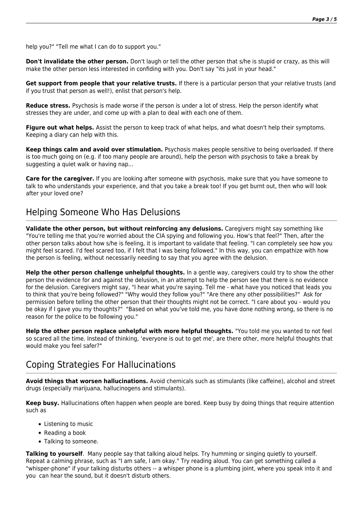help you?" "Tell me what I can do to support you."

**Don't invalidate the other person.** Don't laugh or tell the other person that s/he is stupid or crazy, as this will make the other person less interested in confiding with you. Don't say "its just in your head."

**Get support from people that your relative trusts.** If there is a particular person that your relative trusts (and if you trust that person as well!), enlist that person's help.

**Reduce stress.** Psychosis is made worse if the person is under a lot of stress. Help the person identify what stresses they are under, and come up with a plan to deal with each one of them.

**Figure out what helps.** Assist the person to keep track of what helps, and what doesn't help their symptoms. Keeping a diary can help with this.

**Keep things calm and avoid over stimulation.** Psychosis makes people sensitive to being overloaded. If there is too much going on (e.g. if too many people are around), help the person with psychosis to take a break by suggesting a quiet walk or having nap...

**Care for the caregiver.** If you are looking after someone with psychosis, make sure that you have someone to talk to who understands your experience, and that you take a break too! If you get burnt out, then who will look after your loved one?

## Helping Someone Who Has Delusions

**Validate the other person, but without reinforcing any delusions.** Caregivers might say something like "You're telling me that you're worried about the CIA spying and following you. How's that feel?" Then, after the other person talks about how s/he is feeling, it is important to validate that feeling. "I can completely see how you might feel scared. I'd feel scared too, if I felt that I was being followed." In this way, you can empathize with how the person is feeling, without necessarily needing to say that you agree with the delusion.

**Help the other person challenge unhelpful thoughts.** In a gentle way, caregivers could try to show the other person the evidence for and against the delusion, in an attempt to help the person see that there is no evidence for the delusion. Caregivers might say, "I hear what you're saying. Tell me - what have you noticed that leads you to think that you're being followed?" "Why would they follow you?" "Are there any other possibilities?" Ask for permission before telling the other person that their thoughts might not be correct. "I care about you - would you be okay if I gave you my thoughts?" "Based on what you've told me, you have done nothing wrong, so there is no reason for the police to be following you."

**Help the other person replace unhelpful with more helpful thoughts.** "You told me you wanted to not feel so scared all the time. Instead of thinking, 'everyone is out to get me', are there other, more helpful thoughts that would make you feel safer?"

# Coping Strategies For Hallucinations

**Avoid things that worsen hallucinations.** Avoid chemicals such as stimulants (like caffeine), alcohol and street drugs (especially marijuana, hallucinogens and stimulants).

**Keep busy.** Hallucinations often happen when people are bored. Keep busy by doing things that require attention such as

- Listening to music
- Reading a book
- Talking to someone.

**Talking to yourself**. Many people say that talking aloud helps. Try humming or singing quietly to yourself. Repeat a calming phrase, such as "I am safe, I am okay." Try reading aloud. You can get something called a "whisper-phone" if your talking disturbs others -- a whisper phone is a plumbing joint, where you speak into it and you can hear the sound, but it doesn't disturb others.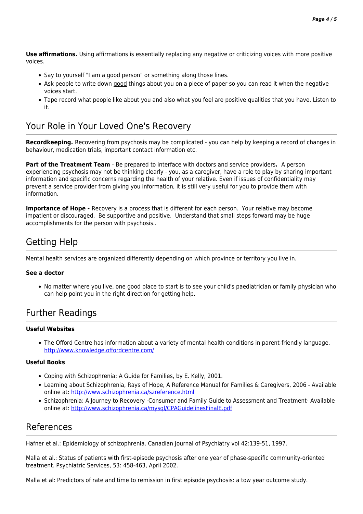**Use affirmations.** Using affirmations is essentially replacing any negative or criticizing voices with more positive voices.

- Say to yourself "I am a good person" or something along those lines.
- Ask people to write down good things about you on a piece of paper so you can read it when the negative voices start.
- Tape record what people like about you and also what you feel are positive qualities that you have. Listen to it.

### Your Role in Your Loved One's Recovery

**Recordkeeping.** Recovering from psychosis may be complicated - you can help by keeping a record of changes in behaviour, medication trials, important contact information etc.

**Part of the Treatment Team** - Be prepared to interface with doctors and service providers**.** A person experiencing psychosis may not be thinking clearly - you, as a caregiver, have a role to play by sharing important information and specific concerns regarding the health of your relative. Even if issues of confidentiality may prevent a service provider from giving you information, it is still very useful for you to provide them with information.

**Importance of Hope -** Recovery is a process that is different for each person. Your relative may become impatient or discouraged. Be supportive and positive. Understand that small steps forward may be huge accomplishments for the person with psychosis..

# Getting Help

Mental health services are organized differently depending on which province or territory you live in.

#### **See a doctor**

No matter where you live, one good place to start is to see your child's paediatrician or family physician who can help point you in the right direction for getting help.

### Further Readings

#### **Useful Websites**

The Offord Centre has information about a variety of mental health conditions in parent-friendly language. <http://www.knowledge.offordcentre.com/>

#### **Useful Books**

- Coping with Schizophrenia: A Guide for Families, by E. Kelly, 2001.
- Learning about Schizophrenia, Rays of Hope, A Reference Manual for Families & Caregivers, 2006 Available online at: <http://www.schizophrenia.ca/szreference.html>
- Schizophrenia: A Journey to Recovery -Consumer and Family Guide to Assessment and Treatment- Available online at: <http://www.schizophrenia.ca/mysql/CPAGuidelinesFinalE.pdf>

#### References

Hafner et al.: Epidemiology of schizophrenia. Canadian Journal of Psychiatry vol 42:139-51, 1997.

Malla et al.: Status of patients with first-episode psychosis after one year of phase-specific community-oriented treatment. Psychiatric Services, 53: 458-463, April 2002.

Malla et al: Predictors of rate and time to remission in first episode psychosis: a tow year outcome study.